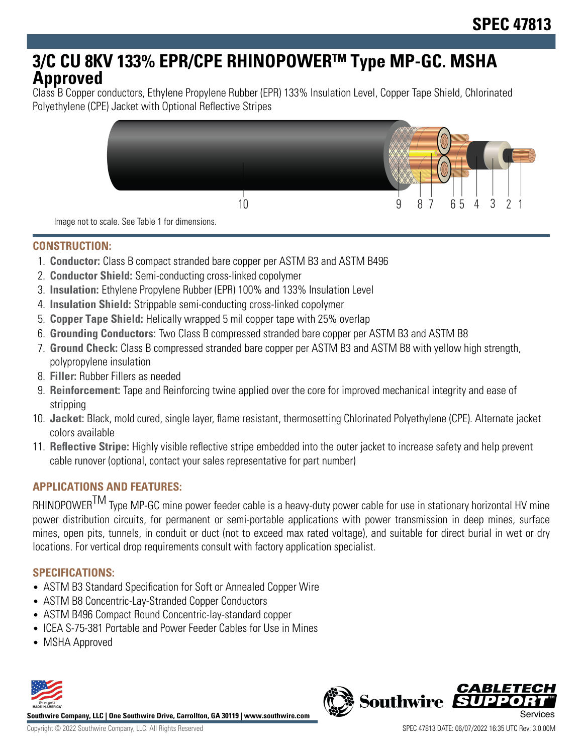# **3/C CU 8KV 133% EPR/CPE RHINOPOWERTM Type MP-GC. MSHA Approved**

Class B Copper conductors, Ethylene Propylene Rubber (EPR) 133% Insulation Level, Copper Tape Shield, Chlorinated Polyethylene (CPE) Jacket with Optional Reflective Stripes



Image not to scale. See Table 1 for dimensions.

#### **CONSTRUCTION:**

- 1. **Conductor:** Class B compact stranded bare copper per ASTM B3 and ASTM B496
- 2. **Conductor Shield:** Semi-conducting cross-linked copolymer
- 3. **Insulation:** Ethylene Propylene Rubber (EPR) 100% and 133% Insulation Level
- 4. **Insulation Shield:** Strippable semi-conducting cross-linked copolymer
- 5. **Copper Tape Shield:** Helically wrapped 5 mil copper tape with 25% overlap
- 6. **Grounding Conductors:** Two Class B compressed stranded bare copper per ASTM B3 and ASTM B8
- 7. **Ground Check:** Class B compressed stranded bare copper per ASTM B3 and ASTM B8 with yellow high strength, polypropylene insulation
- 8. **Filler:** Rubber Fillers as needed
- 9. **Reinforcement:** Tape and Reinforcing twine applied over the core for improved mechanical integrity and ease of stripping
- 10. **Jacket:** Black, mold cured, single layer, flame resistant, thermosetting Chlorinated Polyethylene (CPE). Alternate jacket colors available
- 11. **Reflective Stripe:** Highly visible reflective stripe embedded into the outer jacket to increase safety and help prevent cable runover (optional, contact your sales representative for part number)

## **APPLICATIONS AND FEATURES:**

RHINOPOWER<sup>TM</sup> Type MP-GC mine power feeder cable is a heavy-duty power cable for use in stationary horizontal HV mine power distribution circuits, for permanent or semi-portable applications with power transmission in deep mines, surface mines, open pits, tunnels, in conduit or duct (not to exceed max rated voltage), and suitable for direct burial in wet or dry locations. For vertical drop requirements consult with factory application specialist.

## **SPECIFICATIONS:**

- ASTM B3 Standard Specification for Soft or Annealed Copper Wire
- ASTM B8 Concentric-Lay-Stranded Copper Conductors
- ASTM B496 Compact Round Concentric-lay-standard copper
- ICEA S-75-381 Portable and Power Feeder Cables for Use in Mines
- MSHA Approved



**Southwire Company, LLC | One Southwire Drive, Carrollton, GA 30119 | www.southwire.com**

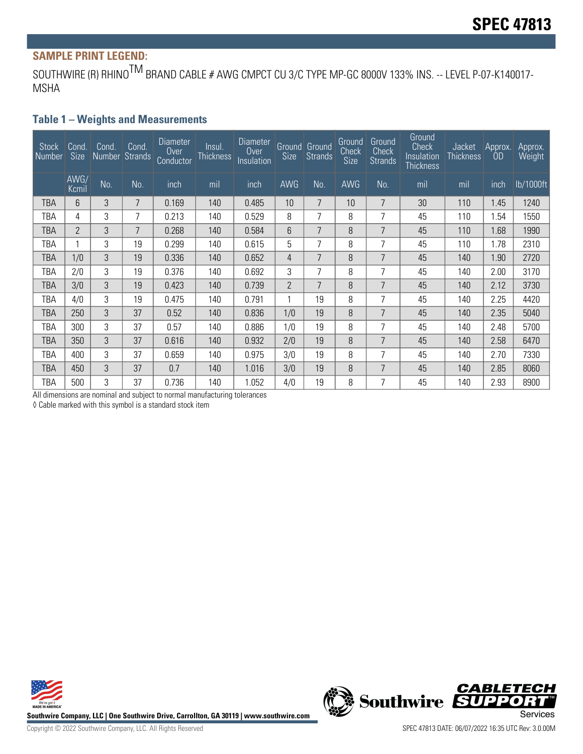# **SAMPLE PRINT LEGEND:**

SOUTHWIRE (R) RHINO<sup>TM</sup> BRAND CABLE # AWG CMPCT CU 3/C TYPE MP-GC 8000V 133% INS. -- LEVEL P-07-K140017-MSHA

#### **Table 1 – Weights and Measurements**

| Stock<br>l Number | Cond.<br><b>Size</b> | Cond. | Cond.<br>Number Strands | Diameter<br>Over<br>Conductor | Insul.<br><b>Thickness</b> | <b>Diameter</b><br>$0$ ver<br>Insulation | Size           | Ground Ground<br>Strands | Ground<br>Check<br><b>Size</b> | Ground<br>Check<br><b>Strands</b> | Ground<br>Check<br>Insulation<br><b>Thickness</b> | Jacket<br><b>Thickness</b> | Approx.<br>OD | Approx.<br>Weight |
|-------------------|----------------------|-------|-------------------------|-------------------------------|----------------------------|------------------------------------------|----------------|--------------------------|--------------------------------|-----------------------------------|---------------------------------------------------|----------------------------|---------------|-------------------|
|                   | AWG/<br>Kcmil        | No.   | No.                     | inch                          | mil                        | inch                                     | AWG            | No.                      | AWG                            | No.                               | mil                                               | mil                        | inch          | lb/1000ft         |
| TBA               | 6                    | 3     | 7                       | 0.169                         | 140                        | 0.485                                    | 10             | 7                        | 10                             | 7                                 | 30                                                | 110                        | 1.45          | 1240              |
| TBA               | 4                    | 3     | 7                       | 0.213                         | 140                        | 0.529                                    | 8              | 7                        | 8                              | 7                                 | 45                                                | 110                        | 1.54          | 1550              |
| TBA               | $\mathbf{2}$         | 3     | 7                       | 0.268                         | 140                        | 0.584                                    | 6              | $\overline{7}$           | 8                              | 7                                 | 45                                                | 110                        | 1.68          | 1990              |
| TBA               | 1                    | 3     | 19                      | 0.299                         | 140                        | 0.615                                    | 5              | 7                        | 8                              | $\overline{7}$                    | 45                                                | 110                        | 1.78          | 2310              |
| TBA               | 1/0                  | 3     | 19                      | 0.336                         | 140                        | 0.652                                    | 4              | 7                        | 8                              | 7                                 | 45                                                | 140                        | 1.90          | 2720              |
| TBA               | 2/0                  | 3     | 19                      | 0.376                         | 140                        | 0.692                                    | 3              | 7                        | 8                              | 7                                 | 45                                                | 140                        | 2.00          | 3170              |
| TBA               | 3/0                  | 3     | 19                      | 0.423                         | 140                        | 0.739                                    | $\overline{2}$ | $\overline{7}$           | 8                              | 7                                 | 45                                                | 140                        | 2.12          | 3730              |
| TBA               | 4/0                  | 3     | 19                      | 0.475                         | 140                        | 0.791                                    |                | 19                       | 8                              | 7                                 | 45                                                | 140                        | 2.25          | 4420              |
| TBA               | 250                  | 3     | 37                      | 0.52                          | 140                        | 0.836                                    | 1/0            | 19                       | 8                              | $\overline{7}$                    | 45                                                | 140                        | 2.35          | 5040              |
| TBA               | 300                  | 3     | 37                      | 0.57                          | 140                        | 0.886                                    | 1/0            | 19                       | 8                              | 7                                 | 45                                                | 140                        | 2.48          | 5700              |
| TBA               | 350                  | 3     | 37                      | 0.616                         | 140                        | 0.932                                    | 2/0            | 19                       | 8                              | 7                                 | 45                                                | 140                        | 2.58          | 6470              |
| TBA               | 400                  | 3     | 37                      | 0.659                         | 140                        | 0.975                                    | 3/0            | 19                       | 8                              | 7                                 | 45                                                | 140                        | 2.70          | 7330              |
| TBA               | 450                  | 3     | 37                      | 0.7                           | 140                        | 1.016                                    | 3/0            | 19                       | 8                              | 7                                 | 45                                                | 140                        | 2.85          | 8060              |
| TBA               | 500                  | 3     | 37                      | 0.736                         | 140                        | 1.052                                    | 4/0            | 19                       | 8                              | 7                                 | 45                                                | 140                        | 2.93          | 8900              |

All dimensions are nominal and subject to normal manufacturing tolerances

◊ Cable marked with this symbol is a standard stock item